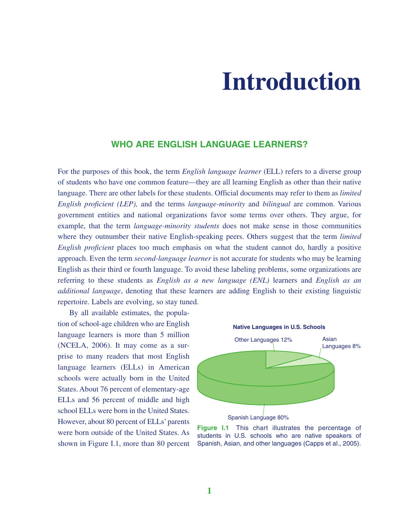# **Introduction**

# **WHO ARE ENGLISH LANGUAGE LEARNERS?**

For the purposes of this book, the term *English language learner* (ELL) refers to a diverse group of students who have one common feature—they are all learning English as other than their native language. There are other labels for these students. Official documents may refer to them as *limited English proficient (LEP),* and the terms *language-minority* and *bilingual* are common. Various government entities and national organizations favor some terms over others. They argue, for example, that the term *language-minority students* does not make sense in those communities where they outnumber their native English-speaking peers. Others suggest that the term *limited English proficient* places too much emphasis on what the student cannot do, hardly a positive approach. Even the term *second-language learner* is not accurate for students who may be learning English as their third or fourth language. To avoid these labeling problems, some organizations are referring to these students as *English as a new language (ENL)* learners and *English as an additional language*, denoting that these learners are adding English to their existing linguistic repertoire. Labels are evolving, so stay tuned.

By all available estimates, the population of school-age children who are English language learners is more than 5 million (NCELA, 2006). It may come as a surprise to many readers that most English language learners (ELLs) in American schools were actually born in the United States. About 76 percent of elementary-age ELLs and 56 percent of middle and high school ELLs were born in the United States. However, about 80 percent of ELLs' parents were born outside of the United States. As shown in Figure I.1, more than 80 percent



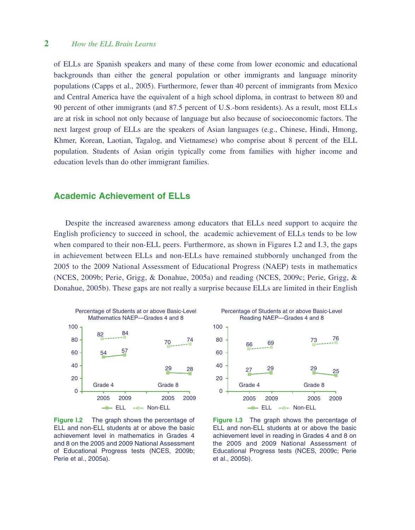#### **2**———*How the ELL Brain Learns*

of ELLs are Spanish speakers and many of these come from lower economic and educational backgrounds than either the general population or other immigrants and language minority populations (Capps et al., 2005). Furthermore, fewer than 40 percent of immigrants from Mexico and Central America have the equivalent of a high school diploma, in contrast to between 80 and 90 percent of other immigrants (and 87.5 percent of U.S.-born residents). As a result, most ELLs are at risk in school not only because of language but also because of socioeconomic factors. The next largest group of ELLs are the speakers of Asian languages (e.g., Chinese, Hindi, Hmong, Khmer, Korean, Laotian, Tagalog, and Vietnamese) who comprise about 8 percent of the ELL population. Students of Asian origin typically come from families with higher income and education levels than do other immigrant families.

## **Academic Achievement of ELLs**

Despite the increased awareness among educators that ELLs need support to acquire the English proficiency to succeed in school, the academic achievement of ELLs tends to be low when compared to their non-ELL peers. Furthermore, as shown in Figures I.2 and I.3, the gaps in achievement between ELLs and non-ELLs have remained stubbornly unchanged from the 2005 to the 2009 National Assessment of Educational Progress (NAEP) tests in mathematics (NCES, 2009b; Perie, Grigg, & Donahue, 2005a) and reading (NCES, 2009c; Perie, Grigg, & Donahue, 2005b). These gaps are not really a surprise because ELLs are limited in their English



**Figure I.2** The graph shows the percentage of ELL and non-ELL students at or above the basic achievement level in mathematics in Grades 4 and 8 on the 2005 and 2009 National Assessment of Educational Progress tests (NCES, 2009b; Perie et al., 2005a).



**Figure I.3** The graph shows the percentage of ELL and non-ELL students at or above the basic achievement level in reading in Grades 4 and 8 on the 2005 and 2009 National Assessment of Educational Progress tests (NCES, 2009c; Perie et al., 2005b).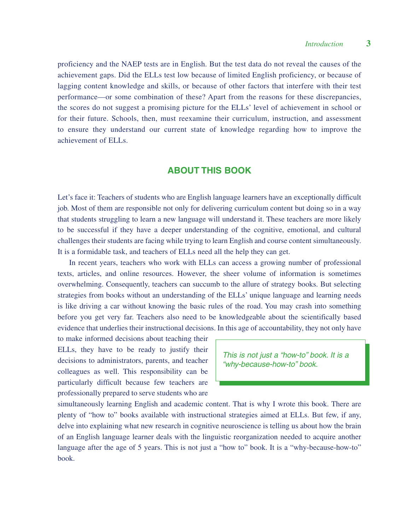proficiency and the NAEP tests are in English. But the test data do not reveal the causes of the achievement gaps. Did the ELLs test low because of limited English proficiency, or because of lagging content knowledge and skills, or because of other factors that interfere with their test performance—or some combination of these? Apart from the reasons for these discrepancies, the scores do not suggest a promising picture for the ELLs' level of achievement in school or for their future. Schools, then, must reexamine their curriculum, instruction, and assessment to ensure they understand our current state of knowledge regarding how to improve the achievement of ELLs.

## **ABOUT THIS BOOK**

Let's face it: Teachers of students who are English language learners have an exceptionally difficult job. Most of them are responsible not only for delivering curriculum content but doing so in a way that students struggling to learn a new language will understand it. These teachers are more likely to be successful if they have a deeper understanding of the cognitive, emotional, and cultural challenges their students are facing while trying to learn English and course content simultaneously. It is a formidable task, and teachers of ELLs need all the help they can get.

In recent years, teachers who work with ELLs can access a growing number of professional texts, articles, and online resources. However, the sheer volume of information is sometimes overwhelming. Consequently, teachers can succumb to the allure of strategy books. But selecting strategies from books without an understanding of the ELLs' unique language and learning needs is like driving a car without knowing the basic rules of the road. You may crash into something before you get very far. Teachers also need to be knowledgeable about the scientifically based evidence that underlies their instructional decisions. In this age of accountability, they not only have

to make informed decisions about teaching their ELLs, they have to be ready to justify their decisions to administrators, parents, and teacher colleagues as well. This responsibility can be particularly difficult because few teachers are professionally prepared to serve students who are

*This is not just a "how-to" book. It is a "why-because-how-to" book.*

simultaneously learning English and academic content. That is why I wrote this book. There are plenty of "how to" books available with instructional strategies aimed at ELLs. But few, if any, delve into explaining what new research in cognitive neuroscience is telling us about how the brain of an English language learner deals with the linguistic reorganization needed to acquire another language after the age of 5 years. This is not just a "how to" book. It is a "why-because-how-to" book.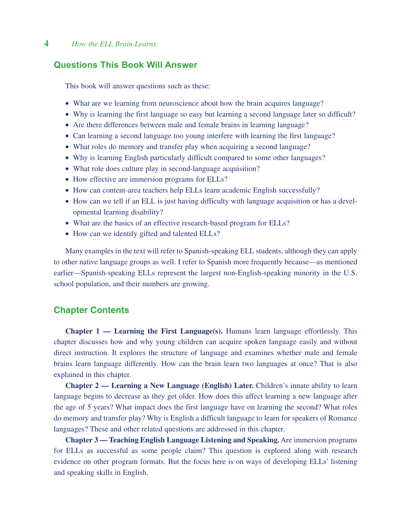## **Questions This Book Will Answer**

This book will answer questions such as these:

- What are we learning from neuroscience about how the brain acquires language?
- Why is learning the first language so easy but learning a second language later so difficult?
- Are there differences between male and female brains in learning language?
- Can learning a second language too young interfere with learning the first language?
- What roles do memory and transfer play when acquiring a second language?
- Why is learning English particularly difficult compared to some other languages?
- What role does culture play in second-language acquisition?
- How effective are immersion programs for ELLs?
- How can content-area teachers help ELLs learn academic English successfully?
- How can we tell if an ELL is just having difficulty with language acquisition or has a developmental learning disability?
- What are the basics of an effective research-based program for ELLs?
- How can we identify gifted and talented ELLs?

Many examples in the text will refer to Spanish-speaking ELL students, although they can apply to other native language groups as well. I refer to Spanish more frequently because—as mentioned earlier—Spanish-speaking ELLs represent the largest non-English-speaking minority in the U.S. school population, and their numbers are growing.

## **Chapter Contents**

**Chapter 1 — Learning the First Language(s).** Humans learn language effortlessly. This chapter discusses how and why young children can acquire spoken language easily and without direct instruction. It explores the structure of language and examines whether male and female brains learn language differently. How can the brain learn two languages at once? That is also explained in this chapter.

**Chapter 2 — Learning a New Language (English) Later.** Children's innate ability to learn language begins to decrease as they get older. How does this affect learning a new language after the age of 5 years? What impact does the first language have on learning the second? What roles do memory and transfer play? Why is English a difficult language to learn for speakers of Romance languages? These and other related questions are addressed in this chapter.

**Chapter 3 — Teaching English Language Listening and Speaking.** Are immersion programs for ELLs as successful as some people claim? This question is explored along with research evidence on other program formats. But the focus here is on ways of developing ELLs' listening and speaking skills in English.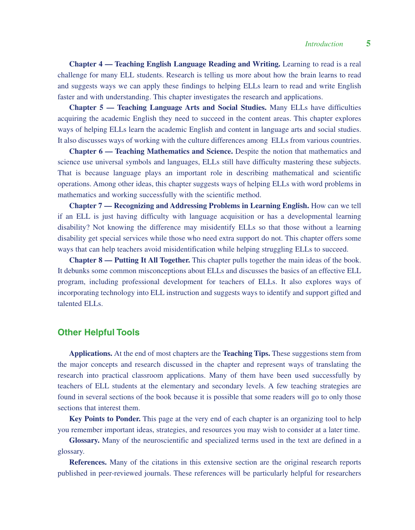**Chapter 4 — Teaching English Language Reading and Writing.** Learning to read is a real challenge for many ELL students. Research is telling us more about how the brain learns to read and suggests ways we can apply these findings to helping ELLs learn to read and write English faster and with understanding. This chapter investigates the research and applications.

**Chapter 5 — Teaching Language Arts and Social Studies.** Many ELLs have difficulties acquiring the academic English they need to succeed in the content areas. This chapter explores ways of helping ELLs learn the academic English and content in language arts and social studies. It also discusses ways of working with the culture differences among ELLs from various countries.

**Chapter 6 — Teaching Mathematics and Science.** Despite the notion that mathematics and science use universal symbols and languages, ELLs still have difficulty mastering these subjects. That is because language plays an important role in describing mathematical and scientific operations. Among other ideas, this chapter suggests ways of helping ELLs with word problems in mathematics and working successfully with the scientific method.

**Chapter 7 — Recognizing and Addressing Problems in Learning English.** How can we tell if an ELL is just having difficulty with language acquisition or has a developmental learning disability? Not knowing the difference may misidentify ELLs so that those without a learning disability get special services while those who need extra support do not. This chapter offers some ways that can help teachers avoid misidentification while helping struggling ELLs to succeed.

**Chapter 8 — Putting It All Together.** This chapter pulls together the main ideas of the book. It debunks some common misconceptions about ELLs and discusses the basics of an effective ELL program, including professional development for teachers of ELLs. It also explores ways of incorporating technology into ELL instruction and suggests ways to identify and support gifted and talented ELLs.

## **Other Helpful Tools**

**Applications.** At the end of most chapters are the **Teaching Tips.** These suggestions stem from the major concepts and research discussed in the chapter and represent ways of translating the research into practical classroom applications. Many of them have been used successfully by teachers of ELL students at the elementary and secondary levels. A few teaching strategies are found in several sections of the book because it is possible that some readers will go to only those sections that interest them.

**Key Points to Ponder.** This page at the very end of each chapter is an organizing tool to help you remember important ideas, strategies, and resources you may wish to consider at a later time.

**Glossary.** Many of the neuroscientific and specialized terms used in the text are defined in a glossary.

**References.** Many of the citations in this extensive section are the original research reports published in peer-reviewed journals. These references will be particularly helpful for researchers